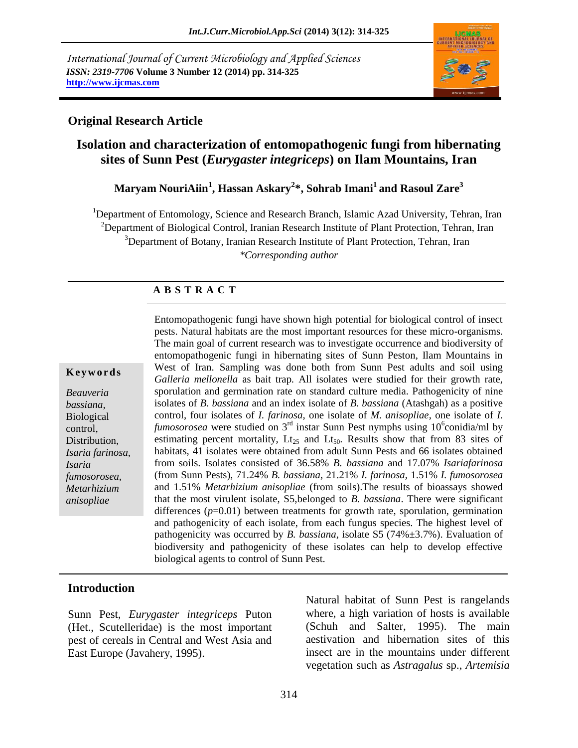*International Journal of Current Microbiology and Applied Sciences ISSN: 2319-7706* **Volume 3 Number 12 (2014) pp. 314-325 http://www.ijcmas.com**



### **Original Research Article**

# **Isolation and characterization of entomopathogenic fungi from hibernating sites of Sunn Pest (***Eurygaster integriceps***) on Ilam Mountains, Iran**

### **Maryam NouriAiin<sup>1</sup> , Hassan Askary<sup>2</sup> \*, Sohrab Imani<sup>1</sup> and Rasoul Zare<sup>3</sup>**

<sup>1</sup>Department of Entomology, Science and Research Branch, Islamic Azad University, Tehran, Iran <sup>2</sup>Department of Biological Control, Iranian Research Institute of Plant Protection, Tehran, Iran <sup>3</sup>Department of Botany, Iranian Research Institute of Plant Protection, Tehran, Iran *\*Corresponding author* 

### **A B S T R A C T**

#### **K e y w o r d s**

*Beauveria bassiana,*  Biological control, Distribution, *Isaria farinosa, Isaria fumosorosea, Metarhizium anisopliae*

Entomopathogenic fungi have shown high potential for biological control of insect pests. Natural habitats are the most important resources for these micro-organisms. The main goal of current research was to investigate occurrence and biodiversity of entomopathogenic fungi in hibernating sites of Sunn Peston, Ilam Mountains in West of Iran. Sampling was done both from Sunn Pest adults and soil using *Galleria mellonella* as bait trap*.* All isolates were studied for their growth rate, sporulation and germination rate on standard culture media. Pathogenicity of nine isolates of *B. bassiana* and an index isolate of *B. bassiana* (Atashgah) as a positive control, four isolates of *I. farinosa*, one isolate of *M. anisopliae*, one isolate of *I.*   $\theta$ *fumosorosea* were studied on  $3^{\text{rd}}$  instar Sunn Pest nymphs using 10<sup>6</sup> conidia/ml by estimating percent mortality,  $Lt_{25}$  and  $Lt_{50}$ . Results show that from 83 sites of habitats, 41 isolates were obtained from adult Sunn Pests and 66 isolates obtained from soils. Isolates consisted of 36.58% *B. bassiana* and 17.07% *Isariafarinosa* (from Sunn Pests), 71.24% *B. bassiana*, 21.21% *I. farinosa,* 1.51% *I. fumosorosea* and 1.51% *Metarhizium anisopliae* (from soils).The results of bioassays showed that the most virulent isolate, S5,belonged to *B. bassiana*. There were significant differences  $(p=0.01)$  between treatments for growth rate, sporulation, germination and pathogenicity of each isolate, from each fungus species. The highest level of pathogenicity was occurred by *B. bassiana*, isolate S5 (74%±3.7%). Evaluation of biodiversity and pathogenicity of these isolates can help to develop effective biological agents to control of Sunn Pest.

#### **Introduction**

Sunn Pest, *Eurygaster integriceps* Puton (Het., Scutelleridae) is the most important pest of cereals in Central and West Asia and East Europe (Javahery, 1995).

Natural habitat of Sunn Pest is rangelands where, a high variation of hosts is available (Schuh and Salter, 1995). The main aestivation and hibernation sites of this insect are in the mountains under different vegetation such as *Astragalus* sp., *Artemisia*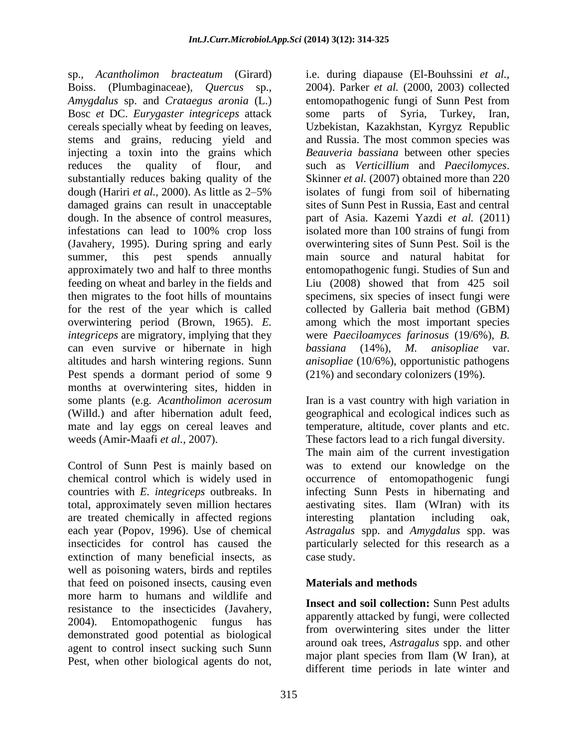sp., *Acantholimon bracteatum* (Girard) Boiss. (Plumbaginaceae), *Quercus* sp., *Amygdalus* sp. and *Crataegus aronia* (L.) Bosc *et* DC. *Eurygaster integriceps* attack cereals specially wheat by feeding on leaves, stems and grains, reducing yield and injecting a toxin into the grains which reduces the quality of flour, and substantially reduces baking quality of the dough (Hariri *et al.,* 2000). As little as 2–5% damaged grains can result in unacceptable dough. In the absence of control measures, infestations can lead to 100% crop loss (Javahery, 1995). During spring and early summer, this pest spends annually approximately two and half to three months feeding on wheat and barley in the fields and then migrates to the foot hills of mountains for the rest of the year which is called overwintering period (Brown, 1965). *E. integriceps* are migratory, implying that they can even survive or hibernate in high altitudes and harsh wintering regions. Sunn Pest spends a dormant period of some 9 months at overwintering sites, hidden in some plants (e.g. *Acantholimon acerosum* (Willd.) and after hibernation adult feed, mate and lay eggs on cereal leaves and weeds (Amir**-**Maafi *et al.,* 2007).

Control of Sunn Pest is mainly based on chemical control which is widely used in countries with *E. integriceps* outbreaks. In total, approximately seven million hectares are treated chemically in affected regions each year (Popov, 1996). Use of chemical insecticides for control has caused the extinction of many beneficial insects, as well as poisoning waters, birds and reptiles that feed on poisoned insects, causing even more harm to humans and wildlife and resistance to the insecticides (Javahery, 2004). Entomopathogenic fungus has demonstrated good potential as biological agent to control insect sucking such Sunn Pest, when other biological agents do not,

i.e. during diapause (El-Bouhssini *et al.,* 2004). Parker *et al.* (2000, 2003) collected entomopathogenic fungi of Sunn Pest from some parts of Syria, Turkey, Iran, Uzbekistan, Kazakhstan, Kyrgyz Republic and Russia. The most common species was *Beauveria bassiana* between other species such as *Verticillium* and *Paecilomyces*. Skinner *et al.* (2007) obtained more than 220 isolates of fungi from soil of hibernating sites of Sunn Pest in Russia, East and central part of Asia. Kazemi Yazdi *et al.* (2011) isolated more than 100 strains of fungi from overwintering sites of Sunn Pest. Soil is the main source and natural habitat for entomopathogenic fungi. Studies of Sun and Liu (2008) showed that from 425 soil specimens, six species of insect fungi were collected by Galleria bait method (GBM) among which the most important species were *Paeciloamyces farinosus* (19/6%), *B. bassiana* (14%), *M. anisopliae* var. *anisopliae* (10/6%), opportunistic pathogens (21%) and secondary colonizers (19%).

Iran is a vast country with high variation in geographical and ecological indices such as temperature, altitude, cover plants and etc. These factors lead to a rich fungal diversity.

The main aim of the current investigation was to extend our knowledge on the occurrence of entomopathogenic fungi infecting Sunn Pests in hibernating and aestivating sites. Ilam (WIran) with its interesting plantation including oak, *Astragalus* spp. and *Amygdalus* spp. was particularly selected for this research as a case study.

# **Materials and methods**

**Insect and soil collection:** Sunn Pest adults apparently attacked by fungi, were collected from overwintering sites under the litter around oak trees, *Astragalus* spp. and other major plant species from Ilam (W Iran), at different time periods in late winter and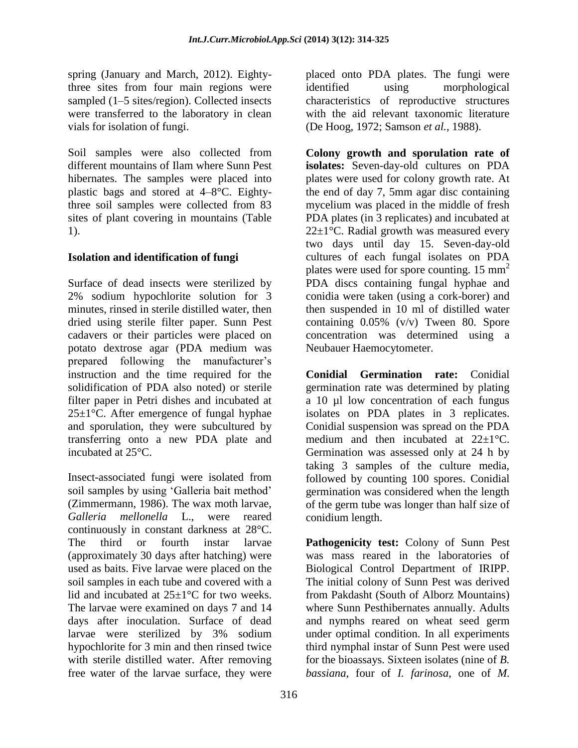spring (January and March, 2012). Eightythree sites from four main regions were sampled (1–5 sites/region). Collected insects were transferred to the laboratory in clean vials for isolation of fungi.

Soil samples were also collected from different mountains of Ilam where Sunn Pest hibernates. The samples were placed into plastic bags and stored at 4–8°C. Eightythree soil samples were collected from 83 sites of plant covering in mountains (Table 1).

# **Isolation and identification of fungi**

Surface of dead insects were sterilized by 2% sodium hypochlorite solution for 3 minutes, rinsed in sterile distilled water, then dried using sterile filter paper. Sunn Pest cadavers or their particles were placed on potato dextrose agar (PDA medium was prepared following the manufacturer's instruction and the time required for the solidification of PDA also noted) or sterile filter paper in Petri dishes and incubated at  $25 \pm 1$ °C. After emergence of fungal hyphae and sporulation, they were subcultured by transferring onto a new PDA plate and incubated at 25°C.

Insect-associated fungi were isolated from soil samples by using 'Galleria bait method' (Zimmermann, 1986). The wax moth larvae, *Galleria mellonella* L., were reared continuously in constant darkness at 28°C. The third or fourth instar larvae (approximately 30 days after hatching) were used as baits. Five larvae were placed on the soil samples in each tube and covered with a lid and incubated at  $25 \pm 1$ °C for two weeks. The larvae were examined on days 7 and 14 days after inoculation. Surface of dead larvae were sterilized by 3% sodium hypochlorite for 3 min and then rinsed twice with sterile distilled water. After removing free water of the larvae surface, they were

placed onto PDA plates. The fungi were identified using morphological characteristics of reproductive structures with the aid relevant taxonomic literature (De Hoog, 1972; Samson *et al.,* 1988).

**Colony growth and sporulation rate of isolates:** Seven-day-old cultures on PDA plates were used for colony growth rate. At the end of day 7, 5mm agar disc containing mycelium was placed in the middle of fresh PDA plates (in 3 replicates) and incubated at  $22\pm1$ °C. Radial growth was measured every two days until day 15. Seven-day-old cultures of each fungal isolates on PDA plates were used for spore counting.  $15 \text{ mm}^2$ PDA discs containing fungal hyphae and conidia were taken (using a cork-borer) and then suspended in 10 ml of distilled water containing 0.05% (v/v) Tween 80. Spore concentration was determined using a Neubauer Haemocytometer.

**Conidial Germination rate:** Conidial germination rate was determined by plating a 10 µl low concentration of each fungus isolates on PDA plates in 3 replicates. Conidial suspension was spread on the PDA medium and then incubated at  $22 \pm 1$ °C. Germination was assessed only at 24 h by taking 3 samples of the culture media, followed by counting 100 spores. Conidial germination was considered when the length of the germ tube was longer than half size of conidium length.

**Pathogenicity test:** Colony of Sunn Pest was mass reared in the laboratories of Biological Control Department of IRIPP. The initial colony of Sunn Pest was derived from Pakdasht (South of Alborz Mountains) where Sunn Pesthibernates annually. Adults and nymphs reared on wheat seed germ under optimal condition. In all experiments third nymphal instar of Sunn Pest were used for the bioassays. Sixteen isolates (nine of *B. bassiana*, four of *I. farinosa*, one of *M.*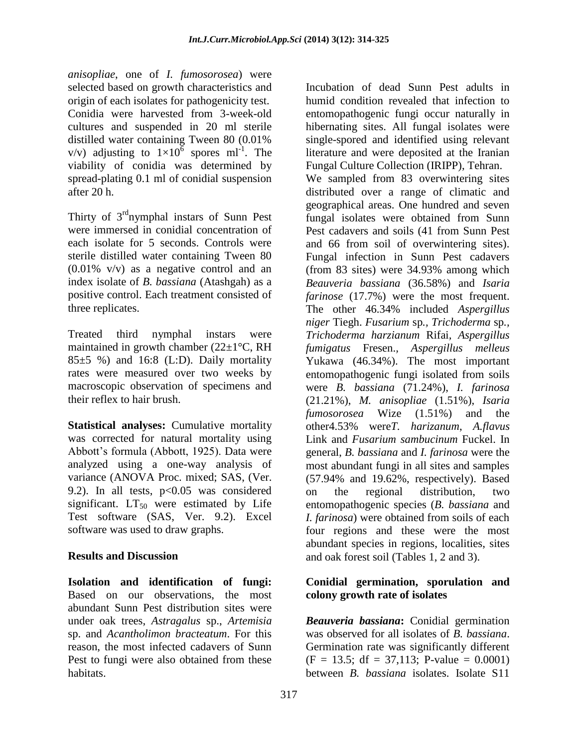*anisopliae*, one of *I. fumosorosea*) were selected based on growth characteristics and origin of each isolates for pathogenicity test. Conidia were harvested from 3-week-old cultures and suspended in 20 ml sterile distilled water containing Tween 80 (0.01% v/v) adjusting to  $1\times10^6$  spores ml<sup>-1</sup>. The viability of conidia was determined by spread-plating 0.1 ml of conidial suspension after 20 h.

Thirty of 3<sup>rd</sup>nymphal instars of Sunn Pest were immersed in conidial concentration of each isolate for 5 seconds. Controls were sterile distilled water containing Tween 80 (0.01% v/v) as a negative control and an index isolate of *B. bassiana* (Atashgah) as a positive control. Each treatment consisted of three replicates.

Treated third nymphal instars were maintained in growth chamber ( $22\pm1\degree$ C, RH  $85±5$  %) and 16:8 (L:D). Daily mortality rates were measured over two weeks by macroscopic observation of specimens and their reflex to hair brush.

**Statistical analyses:** Cumulative mortality was corrected for natural mortality using Abbott's formula (Abbott, 1925). Data were analyzed using a one-way analysis of variance (ANOVA Proc. mixed; [SAS, \(Ver.](http://www.ncbi.nlm.nih.gov/pmc/articles/PMC1615244/#i1536-2442-5-37-1-sas1)  [9.2\)](http://www.ncbi.nlm.nih.gov/pmc/articles/PMC1615244/#i1536-2442-5-37-1-sas1). In all tests,  $p<0.05$  was considered significant.  $LT_{50}$  were estimated by Life Test software (SAS, Ver. 9.2). Excel software was used to draw graphs.

#### **Results and Discussion**

**Isolation and identification of fungi:**  Based on our observations, the most abundant Sunn Pest distribution sites were under oak trees, *Astragalus* sp., *Artemisia* sp. and *Acantholimon bracteatum*. For this reason, the most infected cadavers of Sunn Pest to fungi were also obtained from these habitats.

Incubation of dead Sunn Pest adults in humid condition revealed that infection to entomopathogenic fungi occur naturally in hibernating sites. All fungal isolates were single-spored and identified using relevant literature and were deposited at the Iranian Fungal Culture Collection (IRIPP), Tehran. We sampled from 83 overwintering sites distributed over a range of climatic and geographical areas. One hundred and seven fungal isolates were obtained from Sunn Pest cadavers and soils (41 from Sunn Pest and 66 from soil of overwintering sites). Fungal infection in Sunn Pest cadavers (from 83 sites) were 34.93% among which *Beauveria bassiana* (36.58%) and *Isaria farinose* (17.7%) were the most frequent. The other 46.34% included *Aspergillus niger* [Tiegh.](http://www.catalogueoflife.org/col/details/species/id/17394119) *Fusarium* sp*., Trichoderma* sp*., [Trichoderma](http://www.catalogueoflife.org/col/details/species/id/17437837) harzianum* Rifai*, [Aspergillus](http://www.catalogueoflife.org/col/details/species/id/17355701) [fumigatus](http://www.catalogueoflife.org/col/details/species/id/17355701)* Fresen.*, [Aspergillus](http://www.catalogueoflife.org/col/details/species/id/17332476) melleus* [Yukawa](http://www.catalogueoflife.org/col/details/species/id/17332476) (46.34%). The most important entomopathogenic fungi isolated from soils were *B. bassiana* (71.24%), *I. farinosa*  (21.21%), *M. anisopliae* (1.51%), *Isaria [fumosorosea](http://www.catalogueoflife.org/col/details/species/id/17338895)* [Wize](http://www.catalogueoflife.org/col/details/species/id/17338895) (1.51%) and the other4.53% were*T. harizanum*, *[A.flavus](http://www.catalogueoflife.org/col/details/species/id/17354773)* [Link a](http://www.catalogueoflife.org/col/details/species/id/17354773)nd *Fusarium [sambucinum](http://www.catalogueoflife.org/col/details/species/id/17355591/synonym/17330769)* Fuckel. In general, *B. bassiana* and *I. farinosa* were the most abundant fungi in all sites and samples (57.94% and 19.62%, respectively). Based on the regional distribution, two entomopathogenic species (*B. bassiana* and *I. farinosa*) were obtained from soils of each four regions and these were the most abundant species in regions, localities, sites and oak forest soil (Tables 1, 2 and 3).

#### **Conidial germination, sporulation and colony growth rate of isolates**

*Beauveria bassiana***:** Conidial germination was observed for all isolates of *B. bassiana*. Germination rate was significantly different  $(F = 13.5; df = 37,113; P-value = 0.0001)$ between *B. bassiana* isolates. Isolate S11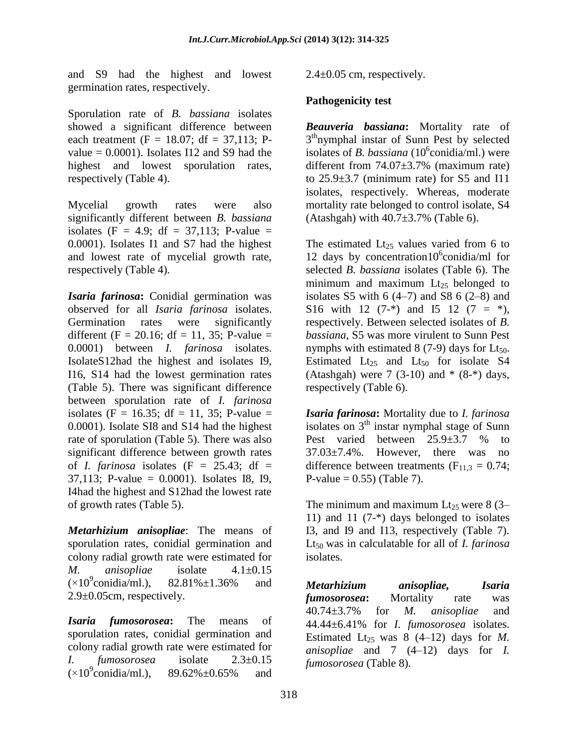and S9 had the highest and lowest germination rates, respectively.

Sporulation rate of *B. bassiana* isolates showed a significant difference between each treatment (F = 18.07; df = 37,113; Pvalue  $= 0.0001$ ). Isolates I12 and S9 had the highest and lowest sporulation rates, respectively (Table 4).

Mycelial growth rates were also significantly different between *B. bassiana*  isolates (F = 4.9; df = 37,113; P-value = 0.0001). Isolates I1 and S7 had the highest and lowest rate of mycelial growth rate, respectively (Table 4).

*Isaria farinosa***:** Conidial germination was observed for all *Isaria farinosa* isolates. Germination rates were significantly different (F = 20.16; df = 11, 35; P-value = 0.0001) between *I. farinosa* isolates. IsolateS12had the highest and isolates I9, I16, S14 had the lowest germination rates (Table 5). There was significant difference between sporulation rate of *I. farinosa* isolates (F = 16.35; df = 11, 35; P-value = 0.0001). Isolate SI8 and S14 had the highest rate of sporulation (Table 5). There was also significant difference between growth rates of *I. farinosa* isolates  $(F = 25.43; df =$ 37,113; P-value = 0.0001). Isolates I8, I9, I4had the highest and S12had the lowest rate of growth rates (Table 5).

*Metarhizium anisopliae*: The means of sporulation rates, conidial germination and colony radial growth rate were estimated for *M. anisopliae* isolate 4.1±0.15  $(\times 10^9$ conidia/ml.),  $82.81\% \pm 1.36\%$  and 2.9±0.05cm, respectively.

*Isaria [fumosorosea](http://www.catalogueoflife.org/col/details/species/id/17338895)***:** The means of sporulation rates, conidial germination and colony radial growth rate were estimated for *I. [fumosorosea](http://www.catalogueoflife.org/col/details/species/id/17338895)* isolate 2.3±0.15  $(\times 10^9$ conidia/ml.).  $89.62\% \pm 0.65\%$  and

 $2.4\pm0.05$  cm, respectively.

### **Pathogenicity test**

*Beauveria bassiana***:** Mortality rate of 3<sup>th</sup>nymphal instar of Sunn Pest by selected isolates of *B. bassiana* (10<sup>6</sup>conidia/ml.) were different from 74.07±3.7% (maximum rate) to  $25.9\pm3.7$  (minimum rate) for S5 and I11 isolates, respectively. Whereas, moderate mortality rate belonged to control isolate, S4 (Atashgah) with  $40.7\pm3.7\%$  (Table 6).

The estimated  $Lt_{25}$  values varied from 6 to 12 days by concentration10 $^6$ conidia/ml for selected *B. bassiana* isolates (Table 6). The minimum and maximum  $Lt_{25}$  belonged to isolates S5 with  $6(4-7)$  and S8  $6(2-8)$  and S16 with 12  $(7<sup>-*</sup>)$  and I5 12  $(7 = *)$ , respectively. Between selected isolates of *B. bassiana*, S5 was more virulent to Sunn Pest nymphs with estimated  $8(7-9)$  days for Lt<sub>50</sub>. Estimated  $Lt_{25}$  and  $Lt_{50}$  for isolate S4 (Atashgah) were 7 (3-10) and  $*(8-*)$  days, respectively (Table 6).

*Isaria farinosa***:** Mortality due to *I. farinosa* isolates on  $3<sup>th</sup>$  instar nymphal stage of Sunn Pest varied between  $25.9 \pm 3.7$  % to 37.03±7.4%. However, there was no difference between treatments ( $F_{11,3} = 0.74$ ; P-value =  $0.55$ ) (Table 7).

The minimum and maximum  $Lt_{25}$  were 8 (3– 11) and 11 (7-\*) days belonged to isolates I3, and I9 and I13, respectively (Table 7). Lt<sup>50</sup> was in calculatable for all of *I. farinosa*  isolates.

*Metarhizium anisopliae, Isaria fumosorosea***:** Mortality rate was 40.74±3.7% for *M. anisopliae* and 44.44±6.41% for *I. fumosorosea* isolates. Estimated Lt<sub>25</sub> was 8  $(4-12)$  days for *M*. *anisopliae* and 7 (4–12) days for *I. fumosorosea* (Table 8).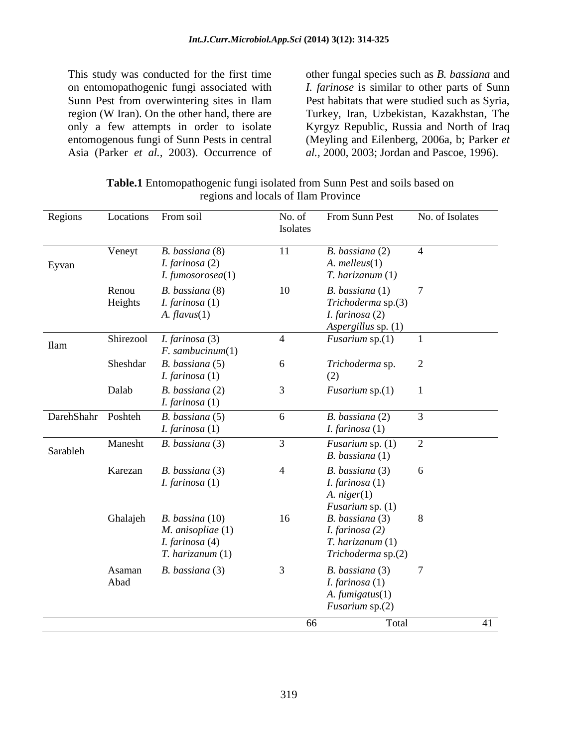This study was conducted for the first time on entomopathogenic fungi associated with Sunn Pest from overwintering sites in Ilam region (W Iran). On the other hand, there are only a few attempts in order to isolate entomogenous fungi of Sunn Pests in central Asia (Parker *et al.,* 2003). Occurrence of

other fungal species such as *B. bassiana* and *I. farinose* is similar to other parts of Sunn Pest habitats that were studied such as Syria, Turkey, Iran, Uzbekistan, Kazakhstan, The Kyrgyz Republic, Russia and North of Iraq (Meyling and Eilenberg, 2006a, b; Parker *et al.,* 2000, 2003; Jordan and Pascoe, 1996).

| <b>Table.1</b> Entomopathogenic fungi isolated from Sunn Pest and soils based on |                                     |  |  |
|----------------------------------------------------------------------------------|-------------------------------------|--|--|
|                                                                                  | regions and locals of Ilam Province |  |  |

| Regions     | Locations        | From soil                                                                               | No. of<br>Isolates | From Sunn Pest                                                                           | No. of Isolates |
|-------------|------------------|-----------------------------------------------------------------------------------------|--------------------|------------------------------------------------------------------------------------------|-----------------|
| Eyvan       | Veneyt           | B. bassiana (8)<br><i>I. farinosa</i> $(2)$<br>I. fumosorosea(1)                        | 11                 | B. bassiana (2)<br>$A.$ melleus $(1)$<br>$T.$ harizanum $(1)$                            | $\overline{4}$  |
|             | Renou<br>Heights | B. bassiana (8)<br>I. farinosa $(1)$<br>$A.$ flavus $(1)$                               | 10                 | B. bassiana (1)<br>Trichoderma sp.(3)<br><i>I. farinosa</i> $(2)$<br>Aspergillus sp. (1) | $\overline{7}$  |
| <b>Ilam</b> | Shirezool        | I. farinosa (3)<br>$F.$ sambucinum $(1)$                                                | $\overline{4}$     | <i>Fusarium</i> sp. $(1)$                                                                | 1               |
|             | Sheshdar         | B. bassiana (5)<br><i>I. farinosa</i> $(1)$                                             | 6                  | Trichoderma sp.<br>(2)                                                                   | $\overline{2}$  |
|             | Dalab            | B. bassiana (2)<br><i>I. farinosa</i> $(1)$                                             | 3                  | <i>Fusarium</i> sp. $(1)$                                                                | $\mathbf{1}$    |
| DarehShahr  | Poshteh          | B. bassiana (5)<br>I. farinosa $(1)$                                                    | 6                  | B. bassiana (2)<br>I. farinosa $(1)$                                                     | 3               |
| Sarableh    | Manesht          | B. bassiana (3)                                                                         | 3                  | <i>Fusarium</i> sp. $(1)$<br>$B.$ bassiana $(1)$                                         | $\overline{2}$  |
|             | Karezan          | B. bassiana (3)<br><i>I. farinosa</i> $(1)$                                             | $\overline{4}$     | B. bassiana (3)<br>I. farinosa $(1)$<br>$A. \nhigher(1)$<br><i>Fusarium</i> sp. $(1)$    | 6               |
|             | Ghalajeh         | $B.$ bassina $(10)$<br>$M.$ anisopliae $(1)$<br>I. farinosa (4)<br>$T.$ harizanum $(1)$ | 16                 | B. bassiana (3)<br>I. farinosa $(2)$<br>T. harizanum (1)<br>Trichoderma sp.(2)           | 8               |
|             | Asaman<br>Abad   | B. bassiana (3)                                                                         | 3                  | B. bassiana (3)<br>I. farinosa $(1)$<br>$A.$ fumigatus $(1)$<br>Fusarium sp.(2)          | 7               |
|             |                  |                                                                                         | 66                 | Total                                                                                    | 41              |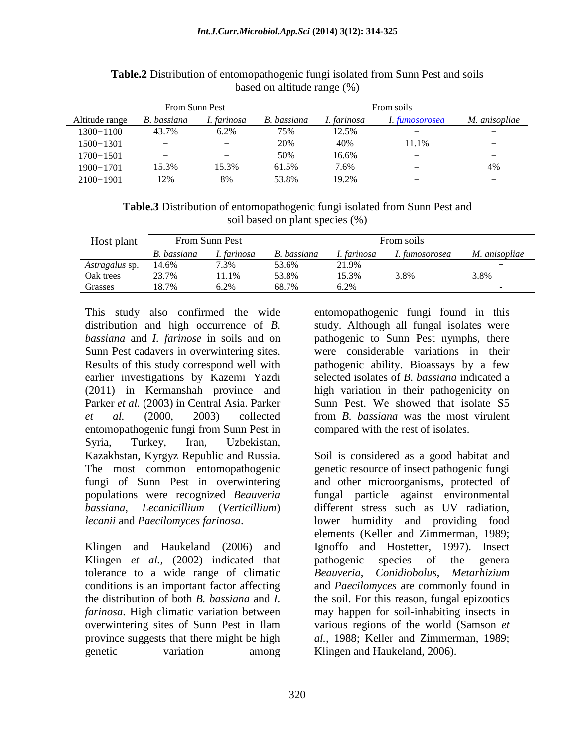|                | <b>From Sunn Pest</b> |             |             | From soils  |                          |                      |
|----------------|-----------------------|-------------|-------------|-------------|--------------------------|----------------------|
| Altitude range | B. bassiana           | I. farinosa | B. bassiana | I. farinosa | 1. fumosorosea           | <i>M. anisopliae</i> |
| $1300 - 1100$  | 43.7%                 | 6.2%        | 75%         | 12.5%       |                          |                      |
| $1500 - 1301$  |                       |             | 20%         | 40%         | 11.1%                    |                      |
| $1700 - 1501$  |                       |             | 50%         | 16.6%       |                          |                      |
| $1900 - 1701$  | 15.3%                 | 15.3%       | 61.5%       | 7.6%        | -                        | 4%                   |
| $2100 - 1901$  | 12%                   | 8%          | 53.8%       | 19.2%       | $\overline{\phantom{m}}$ |                      |

**Table.2** Distribution of entomopathogenic fungi isolated from Sunn Pest and soils based on altitude range (%)

| <b>Table.3</b> Distribution of entomopathogenic fungi isolated from Sunn Pest and |
|-----------------------------------------------------------------------------------|
| soil based on plant species (%)                                                   |

| Host plant     | From Sunn Pest |             |             | From soils  |                |               |
|----------------|----------------|-------------|-------------|-------------|----------------|---------------|
|                | B. bassiana    | I. farinosa | B. bassiana | I. farinosa | I. fumosorosea | M. anisopliae |
| Astragalus sp. | 14.6%          | 7.3%        | 53.6%       | 21.9%       |                | -             |
| Oak trees      | 23.7%          | 1.1%        | 53.8%       | 15.3%       | 3.8%           | 3.8%          |
| Grasses        | 18.7%          | 6.2%        | 68.7%       | 6.2%        |                | -             |

This study also confirmed the wide distribution and high occurrence of *B. bassiana* and *I. farinose* in soils and on Sunn Pest cadavers in overwintering sites. Results of this study correspond well with earlier investigations by Kazemi Yazdi (2011) in Kermanshah province and Parker *et al.* (2003) in Central Asia. Parker *et al.* (2000, 2003) collected entomopathogenic fungi from Sunn Pest in Syria, Turkey, Iran, Uzbekistan, Kazakhstan, Kyrgyz Republic and Russia. The most common entomopathogenic fungi of Sunn Pest in overwintering populations were recognized *Beauveria bassiana*, *Lecanicillium* (*Verticillium*) *lecanii* and *Paecilomyces farinosa*.

Klingen and Haukeland (2006) and Klingen *et al.,* (2002) indicated that tolerance to a wide range of climatic conditions is an important factor affecting the distribution of both *B. bassiana* and *I. farinosa*. High climatic variation between overwintering sites of Sunn Pest in Ilam province suggests that there might be high genetic variation among

entomopathogenic fungi found in this study. Although all fungal isolates were pathogenic to Sunn Pest nymphs, there were considerable variations in their pathogenic ability. Bioassays by a few selected isolates of *B. bassiana* indicated a high variation in their pathogenicity on Sunn Pest. We showed that isolate S5 from *B. bassiana* was the most virulent compared with the rest of isolates.

Soil is considered as a good habitat and genetic resource of insect pathogenic fungi and other microorganisms, protected of fungal particle against environmental different stress such as UV radiation, lower humidity and providing food elements (Keller and Zimmerman, 1989; Ignoffo and Hostetter, 1997). Insect pathogenic species of the genera *Beauveria*, *Conidiobolus*, *Metarhizium* and *Paecilomyces* are commonly found in the soil. For this reason, fungal epizootics may happen for soil-inhabiting insects in various regions of the world (Samson *et al.,* 1988; Keller and Zimmerman, 1989; Klingen and Haukeland, 2006).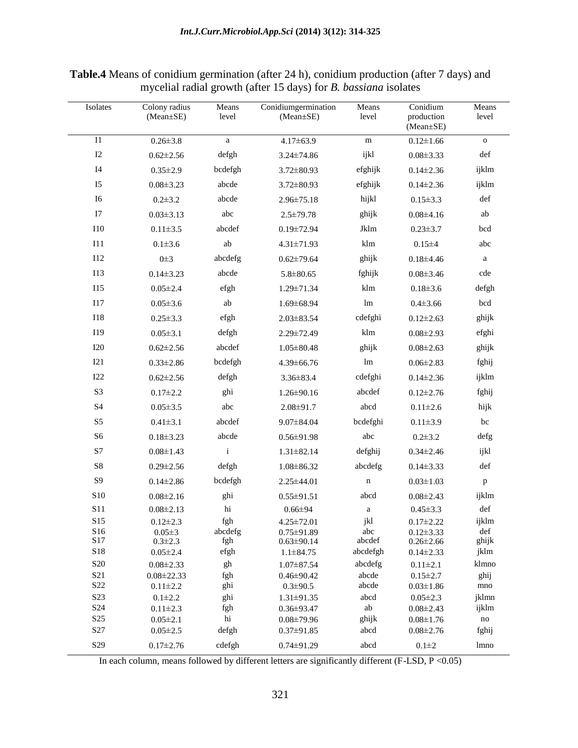| Isolates        | Colony radius<br>(Mean±SE)      | Means<br>level | Conidiumgermination<br>$(Mean \pm SE)$ | Means<br>level        | Conidium<br>production<br>(Mean±SE) | Means<br>level       |
|-----------------|---------------------------------|----------------|----------------------------------------|-----------------------|-------------------------------------|----------------------|
| I1              | $0.26 \pm 3.8$                  | $\mathbf{a}$   | $4.17 \pm 63.9$                        | ${\rm m}$             | $0.12 \pm 1.66$                     | $\mathbf O$          |
| $I2$            | $0.62 \pm 2.56$                 | defgh          | 3.24±74.86                             | ijkl                  | $0.08 \pm 3.33$                     | $\operatorname{def}$ |
| $I4$            | $0.35 \pm 2.9$                  | bcdefgh        | $3.72 \pm 80.93$                       | efghijk               | $0.14 \pm 2.36$                     | ijklm                |
| I <sub>5</sub>  | $0.08 \pm 3.23$                 | abcde          | 3.72±80.93                             | efghijk               | $0.14 \pm 2.36$                     | ijklm                |
| $I6$            | $0.2 \pm 3.2$                   | abcde          | 2.96±75.18                             | hijkl                 | $0.15 \pm 3.3$                      | def                  |
| I7              | $0.03 \pm 3.13$                 | abc            | $2.5 \pm 79.78$                        | ghijk                 | $0.08 \pm 4.16$                     | ab                   |
| $I10$           | $0.11 \pm 3.5$                  | abcdef         | $0.19 \pm 72.94$                       | Jklm                  | $0.23 \pm 3.7$                      | bcd                  |
| <b>I11</b>      | $0.1 + 3.6$                     | ab             | $4.31 \pm 71.93$                       | klm                   | $0.15 \pm 4$                        | abc                  |
| I12             | $0\not\equiv 3$                 | abcdefg        | $0.62 \pm 79.64$                       | ghijk                 | $0.18 \pm 4.46$                     | $\mathbf{a}$         |
| I13             | $0.14 \pm 3.23$                 | abcde          | $5.8 \pm 80.65$                        | fghijk                | $0.08 \pm 3.46$                     | cde                  |
| 115             | $0.05 \pm 2.4$                  | efgh           | $1.29 \pm 71.34$                       | klm                   | $0.18 \pm 3.6$                      | defgh                |
| I17             | $0.05 \pm 3.6$                  | ab             | $1.69 \pm 68.94$                       | $\rm{lm}$             | $0.4 \pm 3.66$                      | bcd                  |
| <b>I18</b>      | $0.25 \pm 3.3$                  | efgh           | $2.03 \pm 83.54$                       | cdefghi               | $0.12 \pm 2.63$                     | ghijk                |
| I19             | $0.05 \pm 3.1$                  | defgh          | 2.29±72.49                             | klm                   | $0.08 \pm 2.93$                     | efghi                |
| I20             | $0.62 \pm 2.56$                 | abcdef         | $1.05 \pm 80.48$                       | ghijk                 | $0.08 \pm 2.63$                     | ghijk                |
| I21             | $0.33 \pm 2.86$                 | bcdefgh        | 4.39±66.76                             | lm                    | $0.06 \pm 2.83$                     | fghij                |
| I22             | $0.62 \pm 2.56$                 | defgh          | $3.36 \pm 83.4$                        | cdefghi               | $0.14 \pm 2.36$                     | ijklm                |
| S3              | $0.17 \pm 2.2$                  | ghi            | $1.26 \pm 90.16$                       | abcdef                | $0.12 \pm 2.76$                     | fghij                |
| S4              | $0.05 \pm 3.5$                  | abc            | $2.08 \pm 91.7$                        | abcd                  | $0.11 \pm 2.6$                      | hijk                 |
| S <sub>5</sub>  | $0.41 \pm 3.1$                  | abcdef         | $9.07 \pm 84.04$                       | bcdefghi              | $0.11 \pm 3.9$                      | bc                   |
| ${\rm S6}$      | $0.18 \pm 3.23$                 | abcde          | $0.56 \pm 91.98$                       | abc                   | $0.2 \pm 3.2$                       | defg                 |
| $\mathbf{S}7$   | $0.08 \pm 1.43$                 | $\rm i$        | $1.31 \pm 82.14$                       | defghij               | $0.34 \pm 2.46$                     | ijkl                 |
| ${\rm S}8$      | $0.29 \pm 2.56$                 | defgh          | $1.08 \pm 86.32$                       | abcdefg               | $0.14 \pm 3.33$                     | def                  |
| S <sub>9</sub>  | $0.14 \pm 2.86$                 | bcdefgh        | $2.25 \pm 44.01$                       | $\mathbf n$           | $0.03 \pm 1.03$                     | $\, {\bf p}$         |
| ${\bf S10}$     | $0.08 \pm 2.16$                 | ghi            | $0.55 \pm 91.51$                       | abcd                  | $0.08 \pm 2.43$                     | ijklm                |
| S11             | $0.08 \pm 2.13$                 | $\hbox{hi}$    | $0.66{\pm}94$                          | $\rm{a}$              | $0.45 \pm 3.3$                      | def                  |
| S15             | $0.12 \pm 2.3$                  | fgh            | $4.25 \pm 72.01$                       | jkl                   | $0.17 \pm 2.22$                     | ijklm                |
| S16<br>S17      | $0.05 \pm 3$<br>$0.3 \pm 2.3$   | abcdefg<br>fgh | $0.75 \pm 91.89$<br>$0.63 \pm 90.14$   | abc<br>abcdef         | $0.12 \pm 3.33$<br>$0.26 \pm 2.66$  | def<br>ghijk         |
| S18             | $0.05 \pm 2.4$                  | efgh           | $1.1 \pm 84.75$                        | abcdefgh              | $0.14 \pm 2.33$                     | jklm                 |
| <b>S20</b>      | $0.08 \pm 2.33$                 | gh             | $1.07 \pm 87.54$                       | abcdefg               | $0.11 \pm 2.1$                      | klmno                |
| S21             | $0.08 \pm 22.33$                | fgh            | $0.46 \pm 90.42$                       | abcde                 | $0.15 \pm 2.7$                      | ghij                 |
| S22             | $0.11 \pm 2.2$                  | ghi            | $0.3 \pm 90.5$                         | abcde                 | $0.03 \pm 1.86$                     | mno                  |
| S23<br>S24      | $0.1 \pm 2.2$<br>$0.11 \pm 2.3$ | ghi<br>fgh     | $1.31 \pm 91.35$<br>$0.36 \pm 93.47$   | abcd<br>$\mathrm{ab}$ | $0.05 \pm 2.3$<br>$0.08 \pm 2.43$   | jklmn<br>ijklm       |
| S <sub>25</sub> | $0.05 \pm 2.1$                  | hi             | $0.08 \pm 79.96$                       | ghijk                 | $0.08 \pm 1.76$                     | $\mathbf{no}$        |
| S27             | $0.05 \pm 2.5$                  | defgh          | $0.37 \pm 91.85$                       | abcd                  | $0.08 \pm 2.76$                     | fghij                |
| S29             | $0.17 \pm 2.76$                 | cdefgh         | $0.74 \pm 91.29$                       | abcd                  | $0.1 \pm 2$                         | lmno                 |

**Table.4** Means of conidium germination (after 24 h), conidium production (after 7 days) and mycelial radial growth (after 15 days) for *B. bassiana* isolates

In each column, means followed by different letters are significantly different (F-LSD, P < 0.05)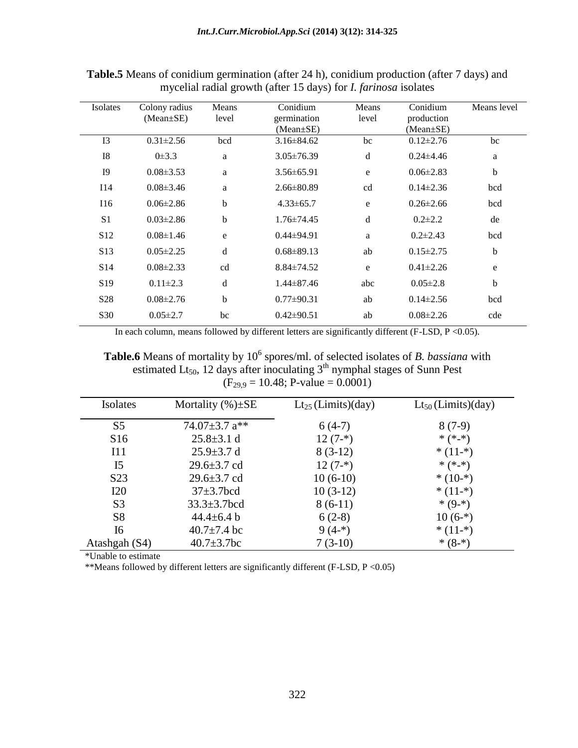| Isolates        | Colony radius<br>$(Mean \pm SE)$ | Means<br>level | Conidium<br>germination<br>$(Mean \pm SE)$ | Means<br>level | Conidium<br>production<br>$(Mean \pm SE)$ | Means level |
|-----------------|----------------------------------|----------------|--------------------------------------------|----------------|-------------------------------------------|-------------|
| I3              | $0.31 \pm 2.56$                  | bcd            | $3.16 \pm 84.62$                           | bc             | $0.12 \pm 2.76$                           | bc          |
| I <sub>8</sub>  | $0\pm3.3$                        | a              | $3.05 \pm 76.39$                           | d              | $0.24{\pm}4.46$                           | a           |
| I <sub>9</sub>  | $0.08 \pm 3.53$                  | a              | $3.56 \pm 65.91$                           | e              | $0.06\pm2.83$                             | $\mathbf b$ |
| I14             | $0.08\pm3.46$                    | $\mathbf{a}$   | $2.66\pm80.89$                             | cd             | $0.14 \pm 2.36$                           | bcd         |
| I16             | $0.06 \pm 2.86$                  | b              | $4.33 \pm 65.7$                            | e              | $0.26 \pm 2.66$                           | bcd         |
| S <sub>1</sub>  | $0.03 \pm 2.86$                  | $\mathbf b$    | $1.76 \pm 74.45$                           | d              | $0.2 \pm 2.2$                             | de          |
| S <sub>12</sub> | $0.08 \pm 1.46$                  | ${\bf e}$      | $0.44\pm94.91$                             | a              | $0.2 \pm 2.43$                            | bcd         |
| S <sub>13</sub> | $0.05 \pm 2.25$                  | d              | $0.68 \pm 89.13$                           | ab             | $0.15 \pm 2.75$                           | $\mathbf b$ |
| S <sub>14</sub> | $0.08 \pm 2.33$                  | cd             | $8.84 \pm 74.52$                           | e              | $0.41 \pm 2.26$                           | e           |
| S <sub>19</sub> | $0.11 \pm 2.3$                   | $\mathbf d$    | $1.44 \pm 87.46$                           | abc            | $0.05 \pm 2.8$                            | $\mathbf b$ |
| S <sub>28</sub> | $0.08 \pm 2.76$                  | b              | $0.77 \pm 90.31$                           | ab             | $0.14\pm2.56$                             | bcd         |
| S <sub>30</sub> | $0.05 \pm 2.7$                   | bc             | $0.42 \pm 90.51$                           | ab             | $0.08 \pm 2.26$                           | cde         |

**Table.5** Means of conidium germination (after 24 h), conidium production (after 7 days) and mycelial radial growth (after 15 days) for *I. farinosa* isolates

In each column, means followed by different letters are significantly different (F-LSD, P <0.05).

Table.6 Means of mortality by 10<sup>6</sup> spores/ml. of selected isolates of *B. bassiana* with estimated Lt<sub>50</sub>, 12 days after inoculating  $3<sup>th</sup>$  nymphal stages of Sunn Pest  $(F_{29,9} = 10.48; P-value = 0.0001)$ 

| Isolates        | Mortality $(\%)\pm SE$ | $Lt_{25}$ (Limits)(day) | $Lt_{50}$ (Limits)(day) |
|-----------------|------------------------|-------------------------|-------------------------|
| S5              | 74.07 $\pm$ 3.7 a**    | $6(4-7)$                | $8(7-9)$                |
| S16             | $25.8 \pm 3.1$ d       | $12(7-*)$               | * $(*-*)$               |
| I11             | $25.9 \pm 3.7$ d       | $8(3-12)$               | $*(11 - *)$             |
| I <sub>5</sub>  | $29.6 \pm 3.7$ cd      | $12(7-*)$               | * $(*-*)$               |
| S <sub>23</sub> | $29.6 \pm 3.7$ cd      | $10(6-10)$              | $*(10^{-})$             |
| I20             | $37 \pm 3.7$ bcd       | $10(3-12)$              | $*(11 - *)$             |
| S <sub>3</sub>  | $33.3 \pm 3.7$ bcd     | $8(6-11)$               | $*(9 -*)$               |
| S <sub>8</sub>  | $44.4 \pm 6.4 b$       | $6(2-8)$                | $10(6-*)$               |
| I6              | $40.7 \pm 7.4$ bc      | $9(4-*)$                | $*(11^{-})$             |
| Atashgah (S4)   | $40.7 \pm 3.7$ bc      | $7(3-10)$               | * $(8 - 4)$             |

\*Unable to estimate

\*\*Means followed by different letters are significantly different (F-LSD, P <0.05)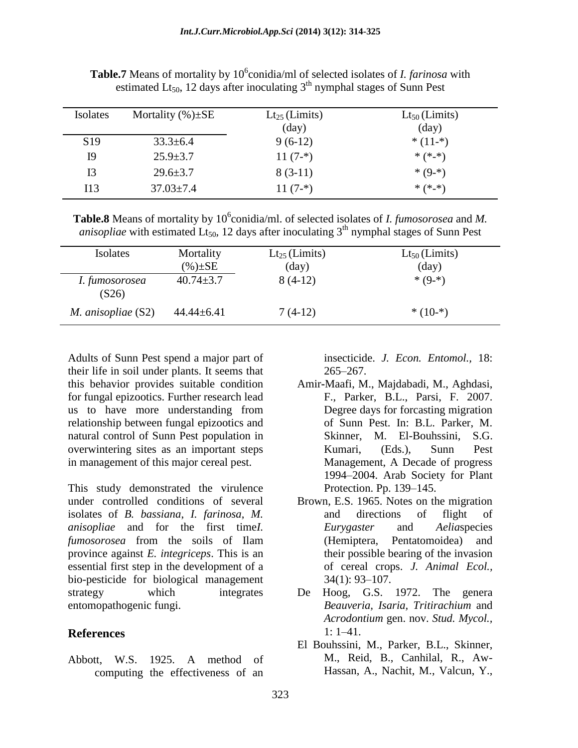| Isolates        | Mortality $(\%)\pm SE$ | $Lt_{25}$ (Limits)<br>$\rm (day)$ | $Lt_{50}$ (Limits)<br>$\text{(day)}$ |
|-----------------|------------------------|-----------------------------------|--------------------------------------|
| S <sub>19</sub> | $33.3 \pm 6.4$         | $9(6-12)$                         | $*(11^{-})$                          |
| 19              | $25.9 \pm 3.7$         | $11(7-*)$                         | * $(*.*)$                            |
| I3              | $29.6 \pm 3.7$         | $8(3-11)$                         | * $(9 - )$                           |
| I13             | $37.03 \pm 7.4$        | $11(7-*)$                         | * $(*.*)$                            |

**Table.7** Means of mortality by 10<sup>6</sup>conidia/ml of selected isolates of *I. farinosa* with estimated Lt<sub>50</sub>, 12 days after inoculating  $3<sup>th</sup>$  nymphal stages of Sunn Pest

**Table.8** Means of mortality by 10<sup>6</sup>conidia/ml. of selected isolates of *I. fumosorosea* and *M*. *anisopliae* with estimated Lt<sub>50</sub>, 12 days after inoculating 3<sup>th</sup> nymphal stages of Sunn Pest

| Isolates                  | Mortality<br>$(\%) \pm SE$ | $Lt_{25}$ (Limits)<br>$\rm (day)$ | $Lt_{50}$ (Limits)<br>$\text{(day)}$ |
|---------------------------|----------------------------|-----------------------------------|--------------------------------------|
| I. fumosorosea<br>(S26)   | $40.74 \pm 3.7$            | $8(4-12)$                         | $*(9 - *)$                           |
| <i>M. anisopliae</i> (S2) | $44.44 \pm 6.41$           | $7(4-12)$                         | $*(10^{-})$                          |

Adults of Sunn Pest spend a major part of their life in soil under plants. It seems that this behavior provides suitable condition for fungal epizootics. Further research lead us to have more understanding from relationship between fungal epizootics and natural control of Sunn Pest population in overwintering sites as an important steps in management of this major cereal pest.

This study demonstrated the virulence under controlled conditions of several isolates of *B. bassiana*, *I. farinosa*, *M. anisopliae* and for the first time*I. [fumosorosea](http://www.catalogueoflife.org/col/details/species/id/17338895)* from the soils of Ilam province against *E. integriceps*. This is an essential first step in the development of a bio-pesticide for biological management strategy which integrates entomopathogenic fungi.

### **References**

Abbott, W.S. 1925. A method of computing the effectiveness of an

insecticide. *J. Econ. Entomol.,* 18: 265–267.

- Amir**-**Maafi, M., Majdabadi, M., Aghdasi, F., Parker, B.L., Parsi, F. 2007. Degree days for forcasting migration of Sunn Pest. In: B.L. Parker, M. Skinner, M. El-Bouhssini, S.G. Kumari, (Eds.), Sunn Pest Management, A Decade of progress 1994–2004. Arab Society for Plant Protection. Pp. 139–145.
- Brown, E.S. 1965. Notes on the migration and directions of flight of *Eurygaster* and *Aelia*species (Hemiptera, Pentatomoidea) and their possible bearing of the invasion of cereal crops. *J. Animal Ecol.,* 34(1): 93–107.
- De Hoog, G.S. 1972. The genera *Beauveria, Isaria, Tritirachium* and *Acrodontium* gen. nov. *Stud. Mycol.,* 1: 1–41.
- El Bouhssini, M., Parker, B.L., Skinner, M., Reid, B., Canhilal, R., Aw-Hassan, A., Nachit, M., Valcun, Y.,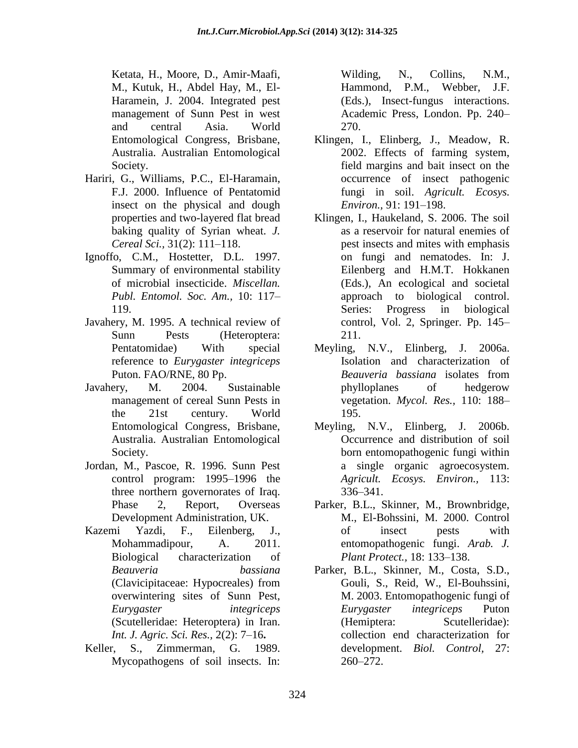Ketata, H., Moore, D., Amir-Maafi, M., Kutuk, H., Abdel Hay, M., El-Haramein, J. 2004. Integrated pest management of Sunn Pest in west and central Asia. World Entomological Congress, Brisbane, Australia. Australian Entomological Society.

- Hariri, G., Williams, P.C., El-Haramain, F.J. 2000. Influence of Pentatomid insect on the physical and dough properties and two-layered flat bread baking quality of Syrian wheat. *J. Cereal Sci.,* 31(2): 111–118.
- Ignoffo, C.M., Hostetter, D.L. 1997. Summary of environmental stability of microbial insecticide. *Miscellan. Publ. Entomol. Soc. Am.,* 10: 117– 119.
- Javahery, M. 1995. A technical review of Sunn Pests (Heteroptera: Pentatomidae) With special reference to *Eurygaster integriceps*  Puton. FAO/RNE, 80 Pp.
- Javahery, M. 2004. Sustainable management of cereal Sunn Pests in the 21st century. World Entomological Congress, Brisbane, Australia. Australian Entomological Society.
- Jordan, M., Pascoe, R. 1996. Sunn Pest control program: 1995–1996 the three northern governorates of Iraq. Phase 2, Report, Overseas Development Administration, UK.
- [Kazemi Yazdi, F.,](http://en.journals.sid.ir/SearchPaper.aspx?writer=370326) [Eilenberg, J.,](http://en.journals.sid.ir/SearchPaper.aspx?writer=370330) [Mohammadipour, A.](http://en.journals.sid.ir/SearchPaper.aspx?writer=360923) 2011. Biological characterization of *Beauveria bassiana* (Clavicipitaceae: Hypocreales) from overwintering sites of Sunn Pest, *Eurygaster integriceps* (Scutelleridae: Heteroptera) in Iran. *[Int. J. Agric. Sci. Res.,](http://en.journals.sid.ir/JournalList.aspx?ID=13892)* 2(2): 7–16**.**
- Keller, S., Zimmerman, G. 1989. Mycopathogens of soil insects. In:

Wilding, N., Collins, N.M., Hammond, P.M., Webber, J.F. (Eds.), Insect-fungus interactions. Academic Press, London. Pp. 240– 270.

- Klingen, I., Elinberg, J., Meadow, R. 2002. Effects of farming system, field margins and bait insect on the occurrence of insect pathogenic fungi in soil. *Agricult. Ecosys. Environ.,* 91: 191–198.
- Klingen, I., Haukeland, S. 2006. The soil as a reservoir for natural enemies of pest insects and mites with emphasis on fungi and nematodes. In: J. Eilenberg and H.M.T. Hokkanen (Eds.), An ecological and societal approach to biological control. Series: Progress in biological control, Vol. 2, Springer. Pp. 145– 211.
- Meyling, N.V., Elinberg, J. 2006a. Isolation and characterization of *Beauveria bassiana* isolates from phylloplanes of hedgerow vegetation. *Mycol. Res.,* 110: 188– 195.
- Meyling, N.V., Elinberg, J. 2006b. Occurrence and distribution of soil born entomopathogenic fungi within a single organic agroecosystem. *Agricult. Ecosys. Environ.,* 113: 336–341.
- Parker, B.L., Skinner, M., Brownbridge, M., El-Bohssini, M. 2000. Control of insect pests with entomopathogenic fungi. *Arab. J. Plant Protect.,* 18: 133–138.
- Parker, B.L., Skinner, M., Costa, S.D., Gouli, S., Reid, W., El-Bouhssini, M. 2003. Entomopathogenic fungi of *Eurygaster integriceps* Puton (Hemiptera: Scutelleridae): collection end characterization for development. *Biol. Control,* 27: 260–272.